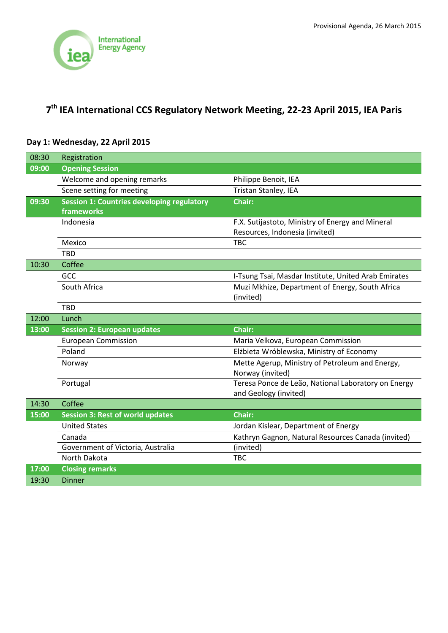

# **7th IEA International CCS Regulatory Network Meeting, 22-23 April 2015, IEA Paris**

| 08:30 | Registration                                      |                                                      |
|-------|---------------------------------------------------|------------------------------------------------------|
| 09:00 | <b>Opening Session</b>                            |                                                      |
|       | Welcome and opening remarks                       | Philippe Benoit, IEA                                 |
|       | Scene setting for meeting                         | Tristan Stanley, IEA                                 |
| 09:30 | <b>Session 1: Countries developing regulatory</b> | <b>Chair:</b>                                        |
|       | frameworks                                        |                                                      |
|       | Indonesia                                         | F.X. Sutijastoto, Ministry of Energy and Mineral     |
|       |                                                   | Resources, Indonesia (invited)                       |
|       | Mexico                                            | <b>TBC</b>                                           |
|       | <b>TBD</b>                                        |                                                      |
| 10:30 | Coffee                                            |                                                      |
|       | GCC                                               | I-Tsung Tsai, Masdar Institute, United Arab Emirates |
|       | South Africa                                      | Muzi Mkhize, Department of Energy, South Africa      |
|       |                                                   | (invited)                                            |
|       | <b>TBD</b>                                        |                                                      |
| 12:00 | Lunch                                             |                                                      |
| 13:00 | <b>Session 2: European updates</b>                | <b>Chair:</b>                                        |
|       | <b>European Commission</b>                        | Maria Velkova, European Commission                   |
|       | Poland                                            | Elżbieta Wróblewska, Ministry of Economy             |
|       | Norway                                            | Mette Agerup, Ministry of Petroleum and Energy,      |
|       |                                                   | Norway (invited)                                     |
|       | Portugal                                          | Teresa Ponce de Leão, National Laboratory on Energy  |
|       |                                                   | and Geology (invited)                                |
| 14:30 | Coffee                                            |                                                      |
| 15:00 | <b>Session 3: Rest of world updates</b>           | <b>Chair:</b>                                        |
|       | <b>United States</b>                              | Jordan Kislear, Department of Energy                 |
|       | Canada                                            | Kathryn Gagnon, Natural Resources Canada (invited)   |
|       | Government of Victoria, Australia                 | (invited)                                            |
|       | <b>North Dakota</b>                               | <b>TBC</b>                                           |
|       |                                                   |                                                      |
| 17:00 | <b>Closing remarks</b>                            |                                                      |

## **Day 1: Wednesday, 22 April 2015**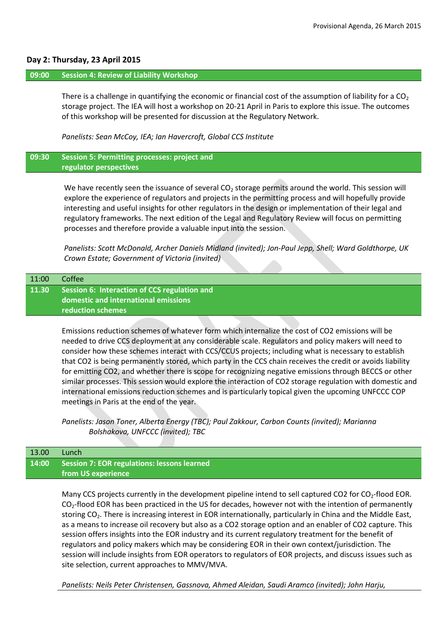#### **Day 2: Thursday, 23 April 2015**

#### **09:00 Session 4: Review of Liability Workshop**

There is a challenge in quantifying the economic or financial cost of the assumption of liability for a  $CO<sub>2</sub>$ storage project. The IEA will host a workshop on 20-21 April in Paris to explore this issue. The outcomes of this workshop will be presented for discussion at the Regulatory Network.

*Panelists: Sean McCoy, IEA; Ian Havercroft, Global CCS Institute* 

### **09:30 Session 5: Permitting processes: project and regulator perspectives**

We have recently seen the issuance of several  $CO<sub>2</sub>$  storage permits around the world. This session will explore the experience of regulators and projects in the permitting process and will hopefully provide interesting and useful insights for other regulators in the design or implementation of their legal and regulatory frameworks. The next edition of the Legal and Regulatory Review will focus on permitting processes and therefore provide a valuable input into the session.

*Panelists: Scott McDonald, Archer Daniels Midland (invited); Jon-Paul Jepp, Shell; Ward Goldthorpe, UK Crown Estate; Government of Victoria (invited)*

| 11:00 | Coffee                                                                                                    |
|-------|-----------------------------------------------------------------------------------------------------------|
| 11.30 | Session 6: Interaction of CCS regulation and<br>domestic and international emissions<br>reduction schemes |
|       |                                                                                                           |

Emissions reduction schemes of whatever form which internalize the cost of CO2 emissions will be needed to drive CCS deployment at any considerable scale. Regulators and policy makers will need to consider how these schemes interact with CCS/CCUS projects; including what is necessary to establish that CO2 is being permanently stored, which party in the CCS chain receives the credit or avoids liability for emitting CO2, and whether there is scope for recognizing negative emissions through BECCS or other similar processes. This session would explore the interaction of CO2 storage regulation with domestic and international emissions reduction schemes and is particularly topical given the upcoming UNFCCC COP meetings in Paris at the end of the year.

*Panelists: Jason Toner, Alberta Energy (TBC); Paul Zakkour, Carbon Counts (invited); Marianna Bolshakova, UNFCCC (invited); TBC*

| 13.00 | Lunch                                             |
|-------|---------------------------------------------------|
|       | 14:00 Session 7: EOR regulations: lessons learned |
|       | ∣ from US experience <sup>∣</sup>                 |

Many CCS projects currently in the development pipeline intend to sell captured CO2 for CO<sub>2</sub>-flood EOR.  $CO<sub>2</sub>$ -flood EOR has been practiced in the US for decades, however not with the intention of permanently storing CO<sub>2</sub>. There is increasing interest in EOR internationally, particularly in China and the Middle East, as a means to increase oil recovery but also as a CO2 storage option and an enabler of CO2 capture. This session offers insights into the EOR industry and its current regulatory treatment for the benefit of regulators and policy makers which may be considering EOR in their own context/jurisdiction. The session will include insights from EOR operators to regulators of EOR projects, and discuss issues such as site selection, current approaches to MMV/MVA.

*Panelists: Neils Peter Christensen, Gassnova, Ahmed Aleidan, Saudi Aramco (invited); John Harju,*